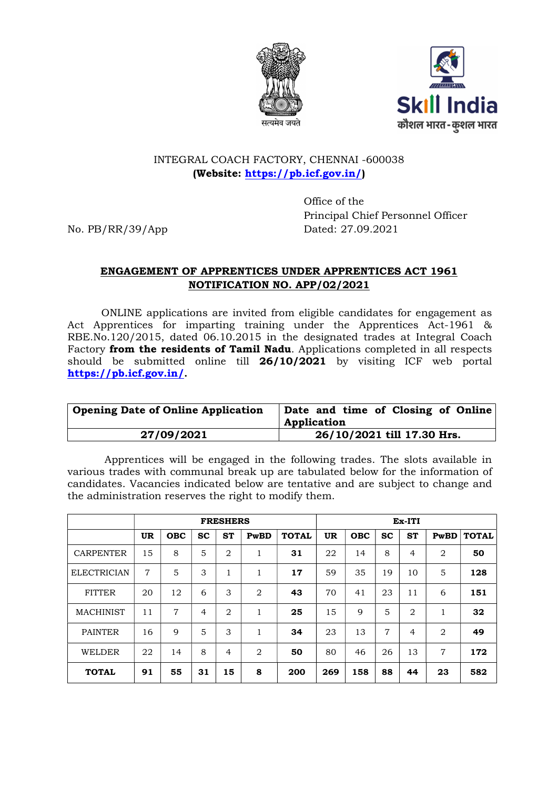



# INTEGRAL COACH FACTORY, CHENNAI -600038 (Website: https://pb.icf.gov.in/)

 Office of the Principal Chief Personnel Officer No. PB/RR/39/App Dated: 27.09.2021

# ENGAGEMENT OF APPRENTICES UNDER APPRENTICES ACT 1961 NOTIFICATION NO. APP/02/2021

 ONLINE applications are invited from eligible candidates for engagement as Act Apprentices for imparting training under the Apprentices Act-1961 & RBE.No.120/2015, dated 06.10.2015 in the designated trades at Integral Coach Factory from the residents of Tamil Nadu. Applications completed in all respects should be submitted online till 26/10/2021 by visiting ICF web portal https://pb.icf.gov.in/.

| <b>Opening Date of Online Application</b> | Date and time of Closing of Online<br>Application |
|-------------------------------------------|---------------------------------------------------|
| 27/09/2021                                | 26/10/2021 till 17.30 Hrs.                        |

 Apprentices will be engaged in the following trades. The slots available in various trades with communal break up are tabulated below for the information of candidates. Vacancies indicated below are tentative and are subject to change and the administration reserves the right to modify them.

|                    | <b>FRESHERS</b> |            |           |                |                |              | Ex-ITI |             |           |                |                |              |
|--------------------|-----------------|------------|-----------|----------------|----------------|--------------|--------|-------------|-----------|----------------|----------------|--------------|
|                    | <b>UR</b>       | <b>OBC</b> | <b>SC</b> | <b>ST</b>      | PwBD           | <b>TOTAL</b> | UR     | <b>OBC</b>  | <b>SC</b> | <b>ST</b>      | PwBD           | <b>TOTAL</b> |
| <b>CARPENTER</b>   | 15              | 8          | 5         | $\mathfrak{D}$ | 1              | 31           | 22     | 14          | 8         | 4              | 2              | 50           |
| <b>ELECTRICIAN</b> | 7               | 5          | 3         | $\mathbf{1}$   | 1              | 17           | 59     | 35          | 19        | 10             | 5              | 128          |
| <b>FITTER</b>      | 20              | 12         | 6         | 3              | $\overline{2}$ | 43           | 70     | 41          | 23        | 11             | 6              | 151          |
| <b>MACHINIST</b>   | 11              | 7          | 4         | 2              | 1              | 25           | 15     | $\mathbf Q$ | 5         | $\overline{2}$ |                | 32           |
| <b>PAINTER</b>     | 16              | 9          | 5         | 3              | $\mathbf{1}$   | 34           | 23     | 13          | 7         | $\overline{4}$ | $\overline{2}$ | 49           |
| <b>WELDER</b>      | 22              | 14         | 8         | 4              | $\overline{2}$ | 50           | 80     | 46          | 26        | 13             | 7              | 172          |
| <b>TOTAL</b>       | 91              | 55         | 31        | 15             | 8              | 200          | 269    | 158         | 88        | 44             | 23             | 582          |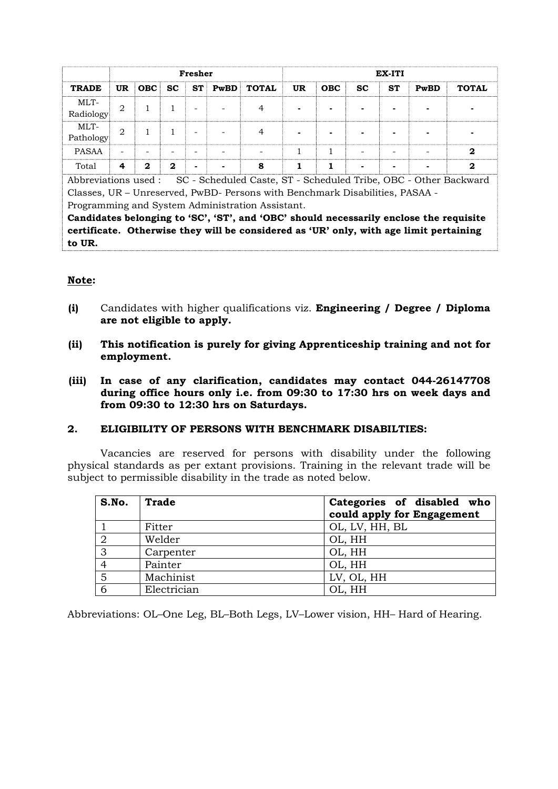|                   | Fresher                       |              |              |  |   | EX-ITI               |    |            |           |           |      |              |
|-------------------|-------------------------------|--------------|--------------|--|---|----------------------|----|------------|-----------|-----------|------|--------------|
| <b>TRADE</b>      | <b>UR</b>                     | OBC          | SC           |  |   | <b>ST PwBD TOTAL</b> | UR | <b>OBC</b> | <b>SC</b> | <b>ST</b> | PwBD | <b>TOTAL</b> |
| MLT-<br>Radiology | $\overline{2}$                |              |              |  |   |                      | -  |            |           |           |      |              |
| MLT-<br>Pathology | $\mathfrak{D}_{\mathfrak{p}}$ |              |              |  |   |                      |    |            |           |           |      |              |
| <b>PASAA</b>      | -                             |              |              |  |   |                      |    |            |           |           |      | 2            |
| Total             | 4                             | $\mathbf{2}$ | $\mathbf{2}$ |  | - | 8                    |    |            |           |           |      | 2            |

Abbreviations used : SC - Scheduled Caste, ST - Scheduled Tribe, OBC - Other Backward Classes, UR – Unreserved, PwBD- Persons with Benchmark Disabilities, PASAA - Programming and System Administration Assistant.

Candidates belonging to 'SC', 'ST', and 'OBC' should necessarily enclose the requisite certificate. Otherwise they will be considered as 'UR' only, with age limit pertaining to UR.

#### Note:

- (i) Candidates with higher qualifications viz. Engineering / Degree / Diploma are not eligible to apply.
- (ii) This notification is purely for giving Apprenticeship training and not for employment.
- (iii) In case of any clarification, candidates may contact 044-26147708 during office hours only i.e. from 09:30 to 17:30 hrs on week days and from 09:30 to 12:30 hrs on Saturdays.

#### 2. ELIGIBILITY OF PERSONS WITH BENCHMARK DISABILTIES:

Vacancies are reserved for persons with disability under the following physical standards as per extant provisions. Training in the relevant trade will be subject to permissible disability in the trade as noted below.

| S.No. | <b>Trade</b> | Categories of disabled who<br>could apply for Engagement |
|-------|--------------|----------------------------------------------------------|
|       | Fitter       | OL, LV, HH, BL                                           |
|       | Welder       | OL, HH                                                   |
| 3     | Carpenter    | OL, HH                                                   |
|       | Painter      | OL, HH                                                   |
| 5     | Machinist    | LV, OL, HH                                               |
|       | Electrician  | OL, HH                                                   |

Abbreviations: OL–One Leg, BL–Both Legs, LV–Lower vision, HH– Hard of Hearing.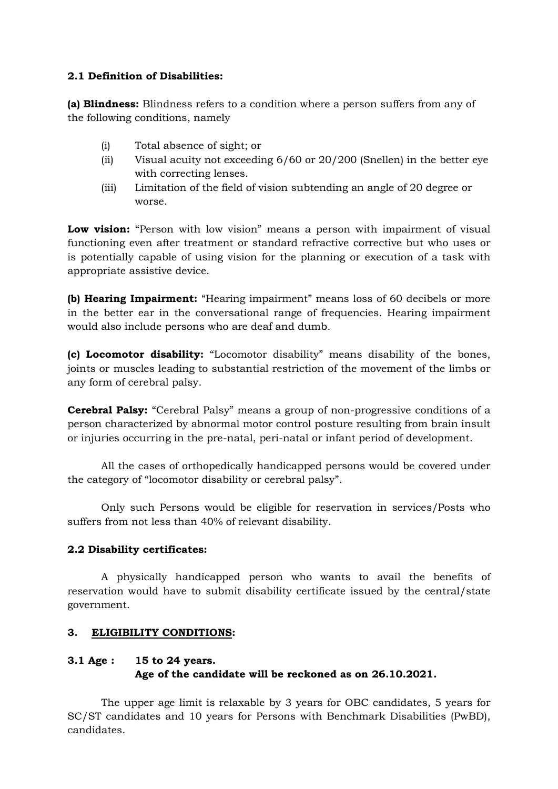## 2.1 Definition of Disabilities:

(a) Blindness: Blindness refers to a condition where a person suffers from any of the following conditions, namely

- (i) Total absence of sight; or
- (ii) Visual acuity not exceeding 6/60 or 20/200 (Snellen) in the better eye with correcting lenses.
- (iii) Limitation of the field of vision subtending an angle of 20 degree or worse.

Low vision: "Person with low vision" means a person with impairment of visual functioning even after treatment or standard refractive corrective but who uses or is potentially capable of using vision for the planning or execution of a task with appropriate assistive device.

(b) Hearing Impairment: "Hearing impairment" means loss of 60 decibels or more in the better ear in the conversational range of frequencies. Hearing impairment would also include persons who are deaf and dumb.

(c) Locomotor disability: "Locomotor disability" means disability of the bones, joints or muscles leading to substantial restriction of the movement of the limbs or any form of cerebral palsy.

Cerebral Palsy: "Cerebral Palsy" means a group of non-progressive conditions of a person characterized by abnormal motor control posture resulting from brain insult or injuries occurring in the pre-natal, peri-natal or infant period of development.

All the cases of orthopedically handicapped persons would be covered under the category of "locomotor disability or cerebral palsy".

Only such Persons would be eligible for reservation in services/Posts who suffers from not less than 40% of relevant disability.

# 2.2 Disability certificates:

A physically handicapped person who wants to avail the benefits of reservation would have to submit disability certificate issued by the central/state government.

# 3. ELIGIBILITY CONDITIONS:

# 3.1 Age : 15 to 24 years. Age of the candidate will be reckoned as on 26.10.2021.

The upper age limit is relaxable by 3 years for OBC candidates, 5 years for SC/ST candidates and 10 years for Persons with Benchmark Disabilities (PwBD), candidates.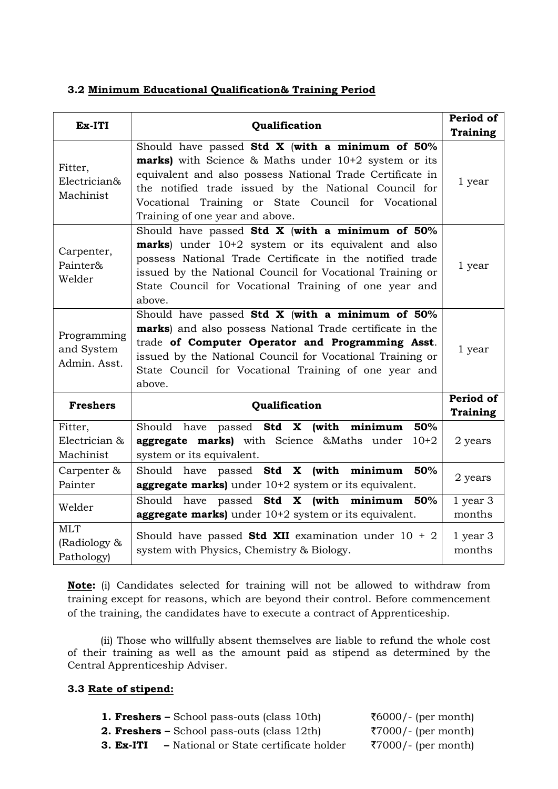### 3.2 Minimum Educational Qualification& Training Period

| Ex-ITI                                    | Qualification                                                                                                                                                                                                                                                                                                                        |                        |  |  |  |  |
|-------------------------------------------|--------------------------------------------------------------------------------------------------------------------------------------------------------------------------------------------------------------------------------------------------------------------------------------------------------------------------------------|------------------------|--|--|--|--|
| Fitter,<br>Electrician&<br>Machinist      | Should have passed Std $X$ (with a minimum of $50\%$<br><b>marks</b> ) with Science & Maths under 10+2 system or its<br>equivalent and also possess National Trade Certificate in<br>the notified trade issued by the National Council for<br>Vocational Training or State Council for Vocational<br>Training of one year and above. | 1 year                 |  |  |  |  |
| Carpenter,<br>Painter&<br>Welder          | Should have passed Std $X$ (with a minimum of 50%<br><b>marks</b> ) under 10+2 system or its equivalent and also<br>possess National Trade Certificate in the notified trade<br>issued by the National Council for Vocational Training or<br>State Council for Vocational Training of one year and<br>above.                         | 1 year                 |  |  |  |  |
| Programming<br>and System<br>Admin. Asst. | Should have passed Std X (with a minimum of 50%<br>marks) and also possess National Trade certificate in the<br>trade of Computer Operator and Programming Asst.<br>issued by the National Council for Vocational Training or<br>State Council for Vocational Training of one year and<br>above.                                     | 1 year                 |  |  |  |  |
| <b>Freshers</b>                           | Qualification                                                                                                                                                                                                                                                                                                                        | Period of<br>Training  |  |  |  |  |
| Fitter,<br>Electrician &<br>Machinist     | Should have passed Std X (with minimum<br>50%<br>aggregate marks) with Science &Maths under<br>$10+2$<br>system or its equivalent.                                                                                                                                                                                                   | 2 years                |  |  |  |  |
| Carpenter &<br>Painter                    | Should have passed Std X (with minimum 50%<br>aggregate marks) under 10+2 system or its equivalent.                                                                                                                                                                                                                                  | 2 years                |  |  |  |  |
| Welder                                    | Should have passed Std X (with minimum 50%<br>aggregate marks) under 10+2 system or its equivalent.                                                                                                                                                                                                                                  | $1$ year $3$<br>months |  |  |  |  |
| <b>MLT</b><br>(Radiology &<br>Pathology)  | Should have passed <b>Std XII</b> examination under $10 + 2$<br>system with Physics, Chemistry & Biology.                                                                                                                                                                                                                            | $1$ year $3$<br>months |  |  |  |  |

Note: (i) Candidates selected for training will not be allowed to withdraw from training except for reasons, which are beyond their control. Before commencement of the training, the candidates have to execute a contract of Apprenticeship.

(ii) Those who willfully absent themselves are liable to refund the whole cost of their training as well as the amount paid as stipend as determined by the Central Apprenticeship Adviser.

# 3.3 Rate of stipend:

|           | <b>1. Freshers –</b> School pass-outs (class 10th)    | $\text{\textsterling}6000$ /- (per month) |
|-----------|-------------------------------------------------------|-------------------------------------------|
|           | <b>2. Freshers –</b> School pass-outs (class $12$ th) | ₹7000/- (per month)                       |
| 3. Ex-ITI | - National or State certificate holder                | ₹7000/- (per month)                       |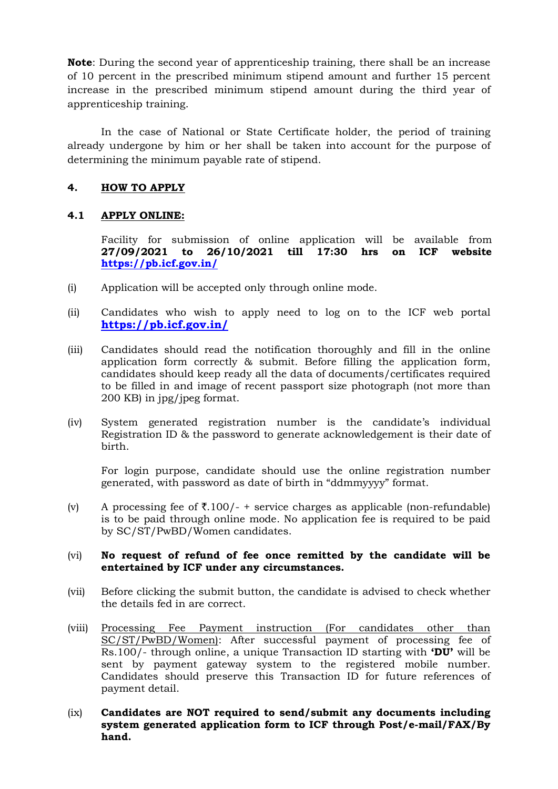Note: During the second year of apprenticeship training, there shall be an increase of 10 percent in the prescribed minimum stipend amount and further 15 percent increase in the prescribed minimum stipend amount during the third year of apprenticeship training.

In the case of National or State Certificate holder, the period of training already undergone by him or her shall be taken into account for the purpose of determining the minimum payable rate of stipend.

### 4. HOW TO APPLY

#### 4.1 APPLY ONLINE:

Facility for submission of online application will be available from 27/09/2021 to 26/10/2021 till 17:30 hrs on ICF website https://pb.icf.gov.in/

- (i) Application will be accepted only through online mode.
- (ii) Candidates who wish to apply need to log on to the ICF web portal https://pb.icf.gov.in/
- (iii) Candidates should read the notification thoroughly and fill in the online application form correctly & submit. Before filling the application form, candidates should keep ready all the data of documents/certificates required to be filled in and image of recent passport size photograph (not more than 200 KB) in jpg/jpeg format.
- (iv) System generated registration number is the candidate's individual Registration ID & the password to generate acknowledgement is their date of birth.

For login purpose, candidate should use the online registration number generated, with password as date of birth in "ddmmyyyy" format.

(v) A processing fee of  $\overline{\xi}$ .100/- + service charges as applicable (non-refundable) is to be paid through online mode. No application fee is required to be paid by SC/ST/PwBD/Women candidates.

#### (vi) No request of refund of fee once remitted by the candidate will be entertained by ICF under any circumstances.

- (vii) Before clicking the submit button, the candidate is advised to check whether the details fed in are correct.
- (viii) Processing Fee Payment instruction (For candidates other than SC/ST/PwBD/Women): After successful payment of processing fee of Rs.100/- through online, a unique Transaction ID starting with **'DU'** will be sent by payment gateway system to the registered mobile number. Candidates should preserve this Transaction ID for future references of payment detail.
- $(ix)$  Candidates are NOT required to send/submit any documents including system generated application form to ICF through Post/e-mail/FAX/By hand.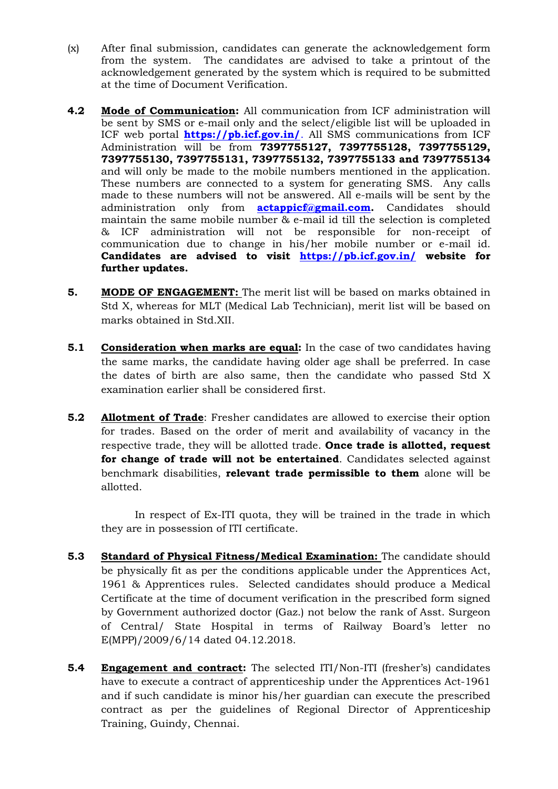- (x) After final submission, candidates can generate the acknowledgement form from the system. The candidates are advised to take a printout of the acknowledgement generated by the system which is required to be submitted at the time of Document Verification.
- 4.2 Mode of Communication: All communication from ICF administration will be sent by SMS or e-mail only and the select/eligible list will be uploaded in ICF web portal **https://pb.icf.gov.in/**. All SMS communications from ICF Administration will be from 7397755127, 7397755128, 7397755129, 7397755130, 7397755131, 7397755132, 7397755133 and 7397755134 and will only be made to the mobile numbers mentioned in the application. These numbers are connected to a system for generating SMS. Any calls made to these numbers will not be answered. All e-mails will be sent by the administration only from **actappicf@gmail.com.** Candidates should maintain the same mobile number & e-mail id till the selection is completed & ICF administration will not be responsible for non-receipt of communication due to change in his/her mobile number or e-mail id. Candidates are advised to visit https://pb.icf.gov.in/ website for further updates.
- **5. MODE OF ENGAGEMENT:** The merit list will be based on marks obtained in Std X, whereas for MLT (Medical Lab Technician), merit list will be based on marks obtained in Std.XII.
- 5.1 Consideration when marks are equal: In the case of two candidates having the same marks, the candidate having older age shall be preferred. In case the dates of birth are also same, then the candidate who passed Std X examination earlier shall be considered first.
- **5.2** Allotment of Trade: Fresher candidates are allowed to exercise their option for trades. Based on the order of merit and availability of vacancy in the respective trade, they will be allotted trade. Once trade is allotted, request for change of trade will not be entertained. Candidates selected against benchmark disabilities, relevant trade permissible to them alone will be allotted.

In respect of Ex-ITI quota, they will be trained in the trade in which they are in possession of ITI certificate.

- 5.3 Standard of Physical Fitness/Medical Examination: The candidate should be physically fit as per the conditions applicable under the Apprentices Act, 1961 & Apprentices rules. Selected candidates should produce a Medical Certificate at the time of document verification in the prescribed form signed by Government authorized doctor (Gaz.) not below the rank of Asst. Surgeon of Central/ State Hospital in terms of Railway Board's letter no E(MPP)/2009/6/14 dated 04.12.2018.
- **5.4 Engagement and contract:** The selected ITI/Non-ITI (fresher's) candidates have to execute a contract of apprenticeship under the Apprentices Act-1961 and if such candidate is minor his/her guardian can execute the prescribed contract as per the guidelines of Regional Director of Apprenticeship Training, Guindy, Chennai.